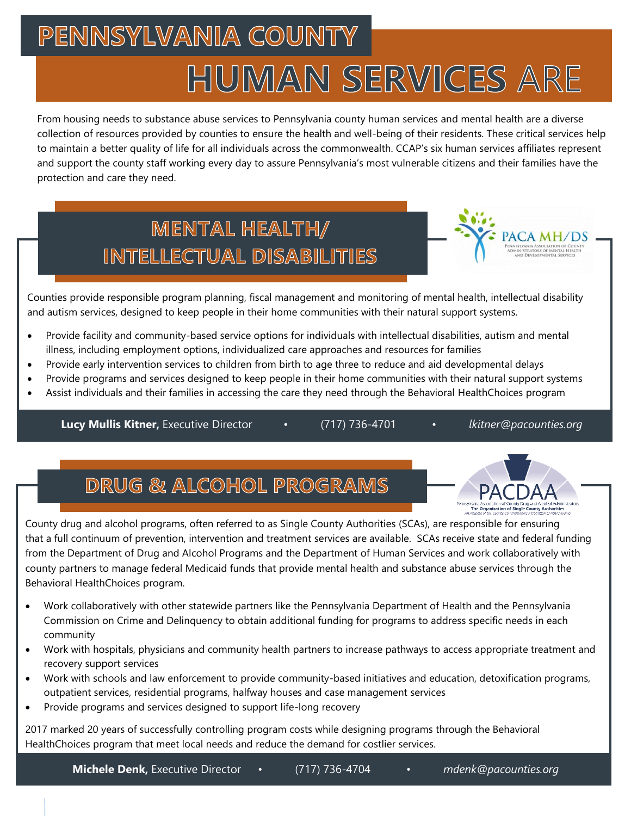# PENNSYLVANIA COUNTY

# HUMAN SERVICES ARE

From housing needs to substance abuse services to Pennsylvania county human services and mental health are a diverse collection of resources provided by counties to ensure the health and well-being of their residents. These critical services help to maintain a better quality of life for all individuals across the commonwealth. CCAP's six human services affiliates represent and support the county staff working every day to assure Pennsylvania's most vulnerable citizens and their families have the protection and care they need.

## MENTAL HEALTH/ INTELLECTUAL DISABILITIES



Counties provide responsible program planning, fiscal management and monitoring of mental health, intellectual disability and autism services, designed to keep people in their home communities with their natural support systems.

- Provide facility and community-based service options for individuals with intellectual disabilities, autism and mental illness, including employment options, individualized care approaches and resources for families
- Provide early intervention services to children from birth to age three to reduce and aid developmental delays
- Provide programs and services designed to keep people in their home communities with their natural support systems
- Assist individuals and their families in accessing the care they need through the Behavioral HealthChoices program

**Lucy Mullis Kitner,** Executive Director • (717) 736-4701 • *lkitner@pacounties.org*

### **DRUG & ALCOHOL PROGRAMS**



County drug and alcohol programs, often referred to as Single County Authorities (SCAs), are responsible for ensuring that a full continuum of prevention, intervention and treatment services are available. SCAs receive state and federal funding from the Department of Drug and Alcohol Programs and the Department of Human Services and work collaboratively with county partners to manage federal Medicaid funds that provide mental health and substance abuse services through the Behavioral HealthChoices program.

- Work collaboratively with other statewide partners like the Pennsylvania Department of Health and the Pennsylvania Commission on Crime and Delinquency to obtain additional funding for programs to address specific needs in each community
- Work with hospitals, physicians and community health partners to increase pathways to access appropriate treatment and recovery support services
- Work with schools and law enforcement to provide community-based initiatives and education, detoxification programs, outpatient services, residential programs, halfway houses and case management services
- Provide programs and services designed to support life-long recovery

2017 marked 20 years of successfully controlling program costs while designing programs through the Behavioral HealthChoices program that meet local needs and reduce the demand for costlier services.